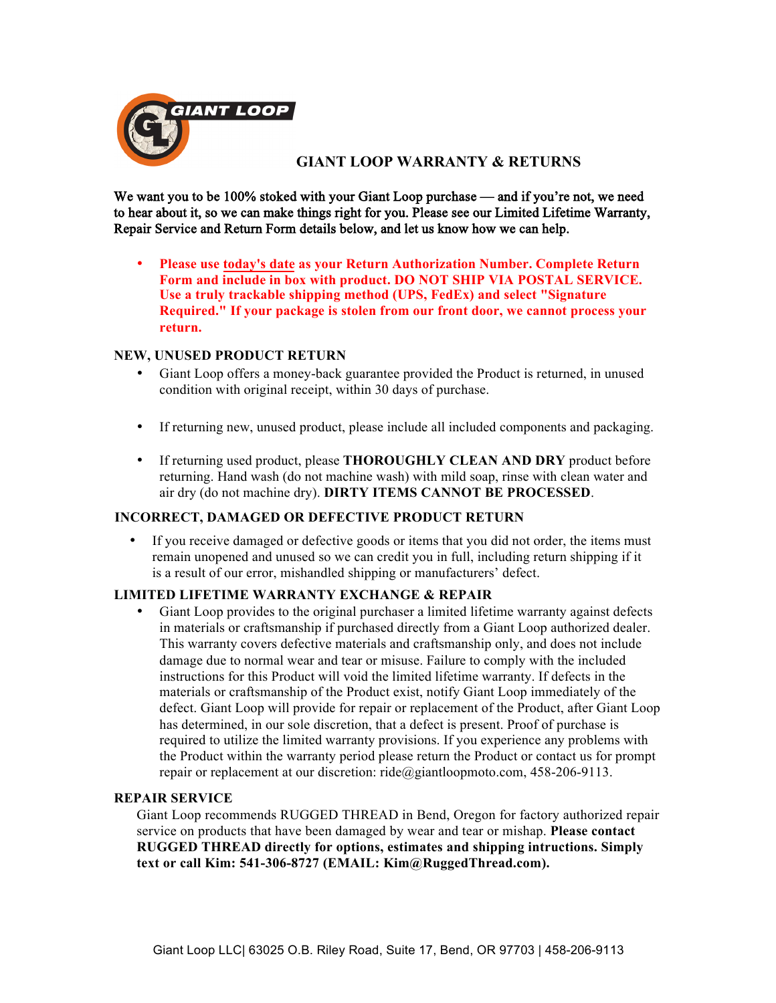

## **GIANT LOOP WARRANTY & RETURNS**

We want you to be 100% stoked with your Giant Loop purchase — and if you're not, we need to hear about it, so we can make things right for you. Please see our Limited Lifetime Warranty, Repair Service and Return Form details below, and let us know how we can help.

• **Please use today's date as your Return Authorization Number. Complete Return Form and include in box with product. DO NOT SHIP VIA POSTAL SERVICE. Use a truly trackable shipping method (UPS, FedEx) and select "Signature Required." If your package is stolen from our front door, we cannot process your return.**

### **NEW, UNUSED PRODUCT RETURN**

- Giant Loop offers a money-back guarantee provided the Product is returned, in unused condition with original receipt, within 30 days of purchase.
- If returning new, unused product, please include all included components and packaging.
- If returning used product, please **THOROUGHLY CLEAN AND DRY** product before returning. Hand wash (do not machine wash) with mild soap, rinse with clean water and air dry (do not machine dry). **DIRTY ITEMS CANNOT BE PROCESSED**.

#### **INCORRECT, DAMAGED OR DEFECTIVE PRODUCT RETURN**

• If you receive damaged or defective goods or items that you did not order, the items must remain unopened and unused so we can credit you in full, including return shipping if it is a result of our error, mishandled shipping or manufacturers' defect.

#### **LIMITED LIFETIME WARRANTY EXCHANGE & REPAIR**

• Giant Loop provides to the original purchaser a limited lifetime warranty against defects in materials or craftsmanship if purchased directly from a Giant Loop authorized dealer. This warranty covers defective materials and craftsmanship only, and does not include damage due to normal wear and tear or misuse. Failure to comply with the included instructions for this Product will void the limited lifetime warranty. If defects in the materials or craftsmanship of the Product exist, notify Giant Loop immediately of the defect. Giant Loop will provide for repair or replacement of the Product, after Giant Loop has determined, in our sole discretion, that a defect is present. Proof of purchase is required to utilize the limited warranty provisions. If you experience any problems with the Product within the warranty period please return the Product or contact us for prompt repair or replacement at our discretion: ride@giantloopmoto.com, 458-206-9113.

#### **REPAIR SERVICE**

Giant Loop recommends RUGGED THREAD in Bend, Oregon for factory authorized repair service on products that have been damaged by wear and tear or mishap. **Please contact RUGGED THREAD directly for options, estimates and shipping intructions. Simply text or call Kim: 541-306-8727 (EMAIL: Kim@RuggedThread.com).**